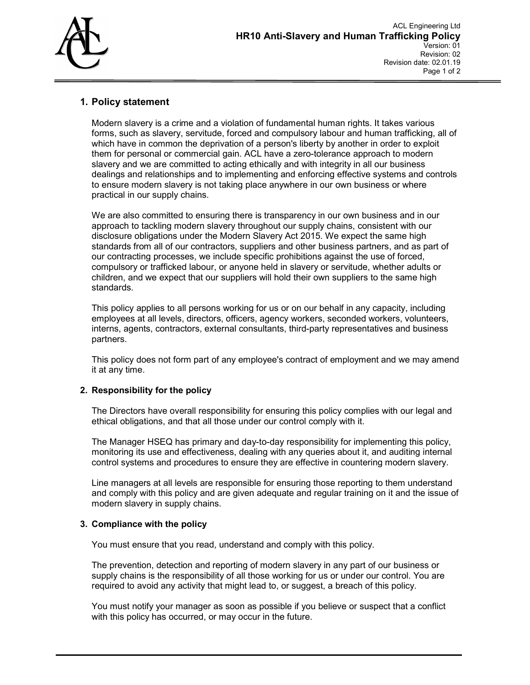

# 1. Policy statement

Modern slavery is a crime and a violation of fundamental human rights. It takes various forms, such as slavery, servitude, forced and compulsory labour and human trafficking, all of which have in common the deprivation of a person's liberty by another in order to exploit them for personal or commercial gain. ACL have a zero-tolerance approach to modern slavery and we are committed to acting ethically and with integrity in all our business dealings and relationships and to implementing and enforcing effective systems and controls to ensure modern slavery is not taking place anywhere in our own business or where practical in our supply chains.

We are also committed to ensuring there is transparency in our own business and in our approach to tackling modern slavery throughout our supply chains, consistent with our disclosure obligations under the Modern Slavery Act 2015. We expect the same high standards from all of our contractors, suppliers and other business partners, and as part of our contracting processes, we include specific prohibitions against the use of forced, compulsory or trafficked labour, or anyone held in slavery or servitude, whether adults or children, and we expect that our suppliers will hold their own suppliers to the same high standards.

This policy applies to all persons working for us or on our behalf in any capacity, including employees at all levels, directors, officers, agency workers, seconded workers, volunteers, interns, agents, contractors, external consultants, third-party representatives and business partners.

This policy does not form part of any employee's contract of employment and we may amend it at any time.

## 2. Responsibility for the policy

The Directors have overall responsibility for ensuring this policy complies with our legal and ethical obligations, and that all those under our control comply with it.

The Manager HSEQ has primary and day-to-day responsibility for implementing this policy, monitoring its use and effectiveness, dealing with any queries about it, and auditing internal control systems and procedures to ensure they are effective in countering modern slavery.

Line managers at all levels are responsible for ensuring those reporting to them understand and comply with this policy and are given adequate and regular training on it and the issue of modern slavery in supply chains.

## 3. Compliance with the policy

You must ensure that you read, understand and comply with this policy.

The prevention, detection and reporting of modern slavery in any part of our business or supply chains is the responsibility of all those working for us or under our control. You are required to avoid any activity that might lead to, or suggest, a breach of this policy.

You must notify your manager as soon as possible if you believe or suspect that a conflict with this policy has occurred, or may occur in the future.